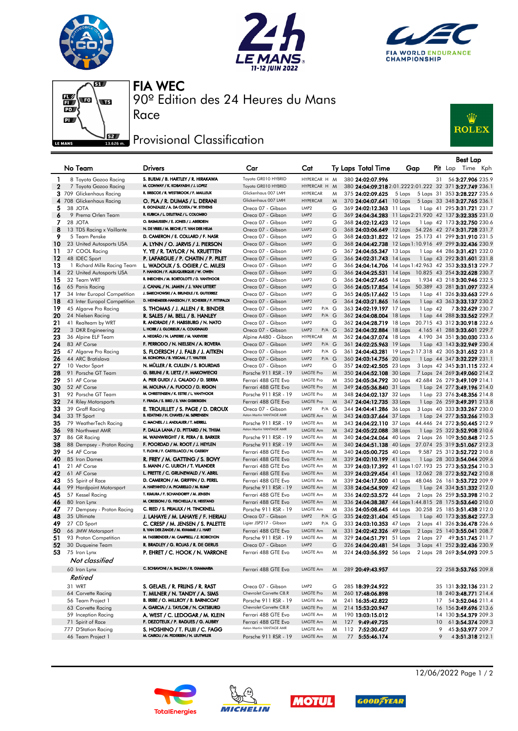







90º Edition des 24 Heures du Mans FIA WEC

## **JEZ Provisional Classification**

Race



|          |                                                         |                                                                            |                                             |                                      |        |  |                                                      |                                                                                                                  |                 | Best Lap                                                     |  |
|----------|---------------------------------------------------------|----------------------------------------------------------------------------|---------------------------------------------|--------------------------------------|--------|--|------------------------------------------------------|------------------------------------------------------------------------------------------------------------------|-----------------|--------------------------------------------------------------|--|
|          | No Team                                                 | <b>Drivers</b>                                                             | Car                                         | Cat                                  |        |  | Ty Laps Total Time                                   | Gap                                                                                                              |                 | Pit Lap Time Kph                                             |  |
| 1        | 8 Toyota Gazoo Racing                                   | S. BUEMI / B. HARTLEY / R. HIRAKAWA                                        | Toyota GR010 HYBRID                         | HYPERCAR H M                         |        |  | 380 24:02:07.996                                     |                                                                                                                  | 31              | 56 3:27.906 235.9                                            |  |
| 2        | 7 Toyota Gazoo Racing                                   | M. CONWAY / K. KOBAYASHI / J. LOPEZ                                        | Toyota GR010 HYBRID                         | HYPERCAR H M                         |        |  |                                                      | 380 24:04:09.218 2:01.222 2:01.222 32 371 3:27.749 236.1                                                         |                 |                                                              |  |
|          | 3 709 Glickenhaus Racing                                | R. BRISCOE / R. WESTBROOK / F. MAILLEUX                                    | Glickenhaus 007 LMH                         | <b>HYPERCAR</b>                      | M      |  | 375 24:02:09.625                                     | 5 Laps 5 Laps 31 353 3:28.227 235.6                                                                              |                 |                                                              |  |
|          | 4 708 Glickenhaus Racing                                | O. PLA / R. DUMAS / L. DERANI                                              | Glickenhaus 007 LMH                         | <b>HYPERCAR</b>                      | M      |  | 370 24:04:07.641 10 Laps                             |                                                                                                                  |                 | 5 Laps 33 348 3:27.765 236.1                                 |  |
| 5        | 38 JOTA                                                 | R. GONZALEZ / A. DA COSTA / W. STEVENS                                     | Oreca 07 - Gibson                           | LMP <sub>2</sub>                     | G      |  | 369 24:02:12.363 11 Laps                             |                                                                                                                  |                 | 1 Lap 41 295 3:31.721 231.7                                  |  |
| 6        | 9 Prema Orlen Team                                      | R. KUBICA / L. DELETRAZ / L. COLOMBO                                       | Oreca 07 - Gibson                           | LMP <sub>2</sub>                     | G      |  |                                                      | 369 24:04:34.283 11 Laps 2:21.920 42 137 3:32.335 231.0                                                          |                 |                                                              |  |
| 7        | 28 JOTA                                                 | O. RASMUSSEN / E. JONES / J. ABERDEIN                                      | Oreca 07 - Gibson                           | LMP <sub>2</sub>                     | G      |  | 368 24:02:12.423 12 Laps                             |                                                                                                                  |                 | 1 Lap 42 173 3:32.750 230.6                                  |  |
| 8        | 13 TDS Racing x Vaillante                               | N. DE VRIES / M. BECHE / T. VAN DER HELM                                   | Oreca 07 - Gibson                           | LMP <sub>2</sub>                     | G      |  |                                                      | 368 24:03:06.649 12 Laps 54.226 42 274 3:31.728 231.7                                                            |                 |                                                              |  |
| 9        | 5 Team Penske                                           | D. CAMERON / E. COLLARD / F. NASR                                          | Oreca 07 - Gibson                           | LMP <sub>2</sub>                     | G      |  |                                                      | 368 24:03:31.822 12 Laps 25.173 41 299 3:31.910 231.5                                                            |                 |                                                              |  |
| 10       | 23 United Autosports USA                                | A. LYNN / O. JARVIS / J. PIERSON                                           | Oreca 07 - Gibson                           | LMP <sub>2</sub>                     | G      |  |                                                      | 368 24:04:42.738 12 Laps 1:10.916 49 299 3:32.436 230.9                                                          |                 |                                                              |  |
| 11       | 37 COOL Racing                                          | Y. YE / R. TAYLOR / N. KRUETTEN                                            | Oreca 07 - Gibson                           | LMP <sub>2</sub>                     | G      |  | 367 24:04:55.347 13 Laps                             |                                                                                                                  |                 | 1 Lap 44 286 3:31.421 232.0                                  |  |
| 12<br>13 | 48 IDEC Sport                                           | P. LAFARGUE / P. CHATIN / P. PILET<br>L. WADOUX / S. OGIER / C. MILESI     | Oreca 07 - Gibson                           | LMP <sub>2</sub><br>LMP <sub>2</sub> | G<br>G |  | 366 24:02:31.743 14 Laps                             |                                                                                                                  |                 | 1 Lap 43 292 <b>3:31.601</b> 231.8                           |  |
| 14       | 1 Richard Mille Racing Team<br>22 United Autosports USA | P. HANSON / F. ALBUQUERQUE / W. OWEN                                       | Oreca 07 - Gibson<br>Oreca 07 - Gibson      | LMP <sub>2</sub>                     | G      |  |                                                      | 366 24:04:14.706 14 Laps 1:42.963 42 353 3:33.513 229.7<br>366 24:04:25.531 14 Laps 10.825 43 254 3:32.628 230.7 |                 |                                                              |  |
| 15       | 32 Team WRT                                             | R. INEICHEN / M. BORTOLOTTI / D. VANTHOOR                                  | Oreca 07 - Gibson                           | LMP <sub>2</sub>                     | G      |  | 366 24:04:27.465 14 Laps                             |                                                                                                                  |                 | 1.934 43 218 3:30.946 232.5                                  |  |
| 16       | 65 Panis Racing                                         | J. CANAL / N. JAMIN / J. VAN UITERT                                        | Oreca 07 - Gibson                           | LMP <sub>2</sub>                     | G      |  |                                                      | 366 24:05:17.854 14 Laps 50.389 43 281 3:31.097 232.4                                                            |                 |                                                              |  |
| 17       | 34 Inter Europol Competition                            | J. SMIECHOWSKI / A. BRUNDLE / E. GUTIERREZ                                 | Oreca 07 - Gibson                           | LMP <sub>2</sub>                     | G      |  | 365 24:05:17.662 15 Laps                             |                                                                                                                  |                 | 1 Lap 41 326 3:33.663 229.6                                  |  |
| 18       | 43 Inter Europol Competition                            | D. HEINEMEIER-HANSSON / F. SCHERER / P. FITTIPALDI                         | Oreca 07 - Gibson                           | LMP <sub>2</sub>                     | G      |  | 364 24:03:21.865 16 Laps                             |                                                                                                                  |                 | 1 Lap 43 363 3:33.137 230.2                                  |  |
| 19       | 45 Algarve Pro Racing                                   | S. THOMAS / J. ALLEN / R. BINDER                                           | Oreca 07 - Gibson                           | LMP <sub>2</sub><br>P/A G            |        |  | 363 24:02:19.197 17 Laps                             | $1$ Lap $42$                                                                                                     |                 | 73:32.629 230.7                                              |  |
| 20       | 24 Nielsen Racing                                       | R. SALES / M. BELL / B. HANLEY                                             | Oreca 07 - Gibson                           | LMP <sub>2</sub><br>$P/A$ $G$        |        |  | 362 24:04:08.004 18 Laps                             |                                                                                                                  |                 | 1 Lap 44 288 3:33.562 229.7                                  |  |
| 21       | 41 Realteam by WRT                                      | R. ANDRADE / F. HABSBURG / N. NATO                                         | Oreca 07 - Gibson                           | LMP <sub>2</sub>                     | G      |  |                                                      | 362 24:04:28.719 18 Laps 20.715 43 312 3:30.918 232.6                                                            |                 |                                                              |  |
| 22       | 3 DKR Engineering                                       | L. HORR / J. GLORIEUX / A. COUGNAUD                                        | Oreca 07 - Gibson                           | LMP <sub>2</sub><br>$P/A$ $G$        |        |  | 362 24:04:32.884 18 Laps                             |                                                                                                                  |                 | 4.165 41 288 3:33.601 229.7                                  |  |
| 23       | 36 Alpine ELF Team                                      | A. NEGRÃO / N. LAPIERRE / M. VAXIVIERE                                     | Alpine A480 - Gibson                        | <b>HYPERCAR</b>                      | M      |  | 362 24:04:37.074 18 Laps                             |                                                                                                                  |                 | 4.190 34 351 3:30.030 233.6                                  |  |
| 24       | 83 AF Corse                                             | F. PERRODO / N. NIELSEN / A. ROVERA                                        | Oreca 07 - Gibson                           | LMP <sub>2</sub><br>$P/A$ $G$        |        |  | 361 24:02:25.963 19 Laps                             |                                                                                                                  |                 | 1 Lap 43 143 3:32.949 230.4                                  |  |
| 25       | 47 Algarve Pro Racing                                   | S. FLOERSCH / J. FALB / J. AITKEN                                          | Oreca 07 - Gibson                           | LMP <sub>2</sub><br>P/A G            |        |  |                                                      | 361 24:04:43.281 19 Laps 2:17.318 42 305 3:31.652 231.8                                                          |                 |                                                              |  |
| 26       | 44 ARC Bratislava                                       | M. KONOPKA / B. VISCAAL / T. VAUTIER                                       | Oreca 07 - Gibson                           | LMP <sub>2</sub><br>$P/A$ $G$        |        |  | 360 24:03:14.756 20 Laps                             |                                                                                                                  |                 | 1 Lap 44 347 3:32.229 231.1                                  |  |
| 27<br>28 | 10 Vector Sport                                         | N. MÜLLER / R. CULLEN / S. BOURDAIS<br>G. BRUNI / R. LIETZ / F. MAKOWIECKI | Oreca 07 - Gibson                           | LMP <sub>2</sub><br><b>LMGTE Pro</b> | G      |  | 357 24:02:42.505 23 Laps                             |                                                                                                                  |                 | 3 Laps 42 345 3:31.115 232.4                                 |  |
| 29       | 91 Porsche GT Team<br>51 AF Corse                       | A. PIER GUIDI / J. CALADO / D. SERRA                                       | Porsche 911 RSR - 19                        | <b>LMGTE Pro</b>                     | M<br>M |  | 350 24:04:52.108 30 Laps<br>350 24:05:34.792 30 Laps |                                                                                                                  |                 | 7 Laps 24 269 3:49.060 214.2<br>42.684 26 279 3:49.109 214.1 |  |
| 30       | 52 AF Corse                                             | M. MOLINA / A. FUOCO / D. RIGON                                            | Ferrari 488 GTE Evo<br>Ferrari 488 GTE Evo  | <b>LMGTE Pro</b>                     | M      |  | 349 24:05:36.840 31 Laps                             |                                                                                                                  |                 | 1 Lap 24 277 3:49.196 214.0                                  |  |
| 31       | 92 Porsche GT Team                                      | M. CHRISTENSEN / K. ESTRE / L. VANTHOOR                                    | Porsche 911 RSR - 19                        | <b>LMGTE Pro</b>                     | M      |  | 348 24:04:02.137 32 Laps                             |                                                                                                                  |                 | 1 Lap 23 276 3:48.356 214.8                                  |  |
| 32       | 74 Riley Motorsports                                    | F. FRAGA / S. BIRD / S. VAN GISBERGEN                                      | Ferrari 488 GTE Evo                         | <b>LMGTE Pro</b>                     | M      |  | 347 24:04:12.735 33 Laps                             |                                                                                                                  |                 | 1 Lap 26 259 3:49.391 213.8                                  |  |
| 33       | 39 Graff Racing                                         | E. TROUILLET / S. PAGE / D. DROUX                                          | Oreca 07 - Gibson                           | LMP2<br>$P/A$ $G$                    |        |  | 344 24:04:41.286 36 Laps                             |                                                                                                                  |                 | 3 Laps 40 333 3:33.267 230.0                                 |  |
| 34       | 33 TF Sport                                             | B. KEATING / H. CHAVES / M. SØRENSEN                                       | Aston Martin VANTAGE AMR                    | LMGTE Am                             | M      |  | 343 24:03:37.664 37 Laps                             |                                                                                                                  |                 | 1 Lap 24 277 3:53.266 210.3                                  |  |
| 35       | 79 WeatherTech Racing                                   | C. MACNEIL / J. ANDLAUER / T. MERRILL                                      | Porsche 911 RSR - 19                        | LMGTE Am                             | M      |  |                                                      | 343 24:04:22.110 37 Laps 44.446 24 272 3:50.445 212.9                                                            |                 |                                                              |  |
| 36       | 98 Northwest AMR                                        | P. DALLA LANA / D. PITTARD / N. THIIM                                      | Aston Martin VANTAGE AMR                    | LMGTE Am                             | M      |  | 342 24:05:22.088 38 Laps                             |                                                                                                                  |                 | 1 Lap 25 322 3:52.908 210.6                                  |  |
| 37       | 86 GR Racing                                            | M. WAINWRIGHT / R. PERA / B. BARKER                                        | Porsche 911 RSR - 19                        | LMGTE Am                             | M      |  | 340 24:04:24.064 40 Laps                             |                                                                                                                  |                 | 2 Laps 26 109 3:50.848 212.5                                 |  |
| 38       | 88 Dempsey - Proton Racing                              | F. POORDAD / M. ROOT / J. HEYLEN                                           | Porsche 911 RSR - 19                        | LMGTE Am                             | M      |  |                                                      | 340 24:04:51.138 40 Laps 27.074 25 319 3:51.067 212.3                                                            |                 |                                                              |  |
| 39       | 54 AF Corse                                             | T. FLOHR / F. CASTELLACCI / N. CASSIDY                                     | Ferrari 488 GTE Evo                         | LMGTE Am                             | M      |  | 340 24:05:00.725 40 Laps                             |                                                                                                                  |                 | 9.587 25 312 3:52.722 210.8                                  |  |
| 40       | 85 Iron Dames                                           | R. FREY / M. GATTING / S. BOVY                                             | Ferrari 488 GTE Evo                         | LMGTE Am                             | M      |  | 339 24:02:10.199 41 Laps                             |                                                                                                                  |                 | 1 Lap 28 303 3:54.044 209.6                                  |  |
| 41       | 21 AF Corse                                             | S. MANN / C. ULRICH / T. VILANDER                                          | Ferrari 488 GTE Evo                         | LMGTE Am                             | M      |  |                                                      | 339 24:03:17.392 41 Laps 1:07.193 25 273 3:53.254 210.3                                                          |                 |                                                              |  |
| 42       | 61 AF Corse                                             | L. PRETTE / C. GRUNEWALD / V. ABRIL<br>D. CAMERON / M. GRIFFIN / D. PEREL  | Ferrari 488 GTE Evo                         | LMGTE Am<br>LMGTE Am                 | M      |  |                                                      | 339 24:03:29.454 41 Laps 12.062 28 272 3:52.742 210.8                                                            |                 |                                                              |  |
| 43<br>44 | 55 Spirit of Race<br>99 Hardpoint Motorsport            | A. HARYANTO / A. PICARIELLO / M. RUMP                                      | Ferrari 488 GTE Evo<br>Porsche 911 RSR - 19 | LMGTE Am                             | M<br>M |  | 338 24:04:54.909 42 Laps                             | 339 24:04:17.500 41 Laps 48.046 26 161 3:53.722 209.9                                                            |                 | 1 Lap 24 334 3:51.332 212.0                                  |  |
| 45       | 57 Kessel Racing                                        | T. KIMURA / F. SCHANDORFF / M. JENSEN                                      | Ferrari 488 GTE Evo                         | LMGTE Am                             | M      |  |                                                      | 336 24:02:53.572 44 Laps 2 Laps 26 259 3:53.398 210.2                                                            |                 |                                                              |  |
| 46       | 80 Iron Lynx                                            | M. CRESSONI / G. FISICHELLA / R. HEISTAND                                  | Ferrari 488 GTE Evo                         | LMGTE Am                             | M      |  |                                                      | 336 24:04:38.387 44 Laps 1:44.815 28 175 3:53.640 210.0                                                          |                 |                                                              |  |
| 47       | 77 Dempsey - Proton Racing                              | C. RIED / S. PRIAULX / H. TINCKNELL                                        | Porsche 911 RSR - 19                        | LMGTE Am                             | M      |  |                                                      | 336 24:05:08.645 44 Laps 30.258 25 185 3:51.438 212.0                                                            |                 |                                                              |  |
| 48       | 35 Ultimate                                             | J. LAHAYE / M. LAHAYE / F. HERIAU                                          | Oreca 07 - Gibson                           | LMP <sub>2</sub><br>$P/A$ $G$        |        |  | 335 24:02:31.404 45 Laps                             |                                                                                                                  |                 | 1 Lap 40 173 3:35.842 227.3                                  |  |
| 49       | 27 CD Sport                                             | C. CRESP / M. JENSEN / S. PALETTE                                          | Ligier JSP217 - Gibson                      | LMP <sub>2</sub><br>P/A G            |        |  | 333 24:03:10.353 47 Laps                             |                                                                                                                  |                 | 2 Laps 41 326 3:36.478 226.6                                 |  |
| 50       | 66 JMW Motorsport                                       | R. VAN DER ZANDE / M. KVAMME / J. HART                                     | Ferrari 488 GTE Evo                         | LMGTE Am                             | M      |  | 331 24:02:42.326 49 Laps                             |                                                                                                                  |                 | 2 Laps 25 140 3:55.041 208.7                                 |  |
| 51       | 93 Proton Competition                                   | M. FASSBENDER / M. CAMPBELL / Z. ROBICHON                                  | Porsche 911 RSR - 19                        | LMGTE Am                             | M      |  |                                                      | 329 24:04:51.791 51 Laps 2 Laps 27 49 3:51.745 211.7                                                             |                 |                                                              |  |
|          | 52 30 Duqueine Team                                     | R. BRADLEY / G. ROJAS / R. DE GERUS                                        | Oreca 07 - Gibson                           | LMP2                                 | G      |  |                                                      | 326 24:04:20.481 54 Laps 3 Laps 41 252 3:32.436 230.9                                                            |                 |                                                              |  |
|          | $53$ 75 Iron Lynx                                       | P. EHRET / C. HOOK / N. VARRONE                                            | Ferrari 488 GTE Evo                         | LMGTE Am                             | M      |  |                                                      | 324 24:03:56.592 56 Laps 2 Laps 28 269 3:54.093 209.5                                                            |                 |                                                              |  |
|          | Not classified                                          |                                                                            |                                             |                                      |        |  |                                                      |                                                                                                                  |                 |                                                              |  |
|          | 60 Iron Lynx                                            | C. SCHIAVONI / A. BALZAN / R. GIAMMARIA                                    | Ferrari 488 GTE Evo                         | LMGTE Am                             | M      |  | 289 20:49:43.957                                     |                                                                                                                  |                 | 22 258 3:53.765 209.8                                        |  |
|          | Retired                                                 |                                                                            |                                             |                                      |        |  |                                                      |                                                                                                                  |                 |                                                              |  |
|          | 31 WRT                                                  | S. GELAEL / R. FRIJNS / R. RAST                                            | Oreca 07 - Gibson                           | LMP2                                 | G      |  | 285 18:39:24.922                                     |                                                                                                                  |                 | 35 131 3:32.136 231.2                                        |  |
|          | 64 Corvette Racing                                      | T. MILNER / N. TANDY / A. SIMS                                             | Chevrolet Corvette C8.R                     | <b>LMGTE Pro</b>                     | M      |  | 260 17:48:06.898                                     |                                                                                                                  |                 | 18 240 3:48.771 214.4                                        |  |
|          | 56 Team Project 1                                       | B. IRIBE / O. MILLROY / B. BARNICOAT                                       | Porsche 911 RSR - 19                        | LMGTE Am                             | M      |  | 241 16:35:42.822                                     |                                                                                                                  |                 | 17 54 3:52.046 211.4                                         |  |
|          | 63 Corvette Racing                                      | A. GARCIA / J. TAYLOR / N. CATSBURG                                        | Chevrolet Corvette C8.R                     | LMGTE Pro                            | M      |  | 214 15:53:20.947                                     |                                                                                                                  |                 | 16 156 3:49.696 213.6                                        |  |
|          | 59 Inception Racing                                     | A. WEST / C. LEDOGAR / M. KLEIN                                            | Ferrari 488 GTE Evo                         | LMGTE Am                             | M      |  | 190 13:03:15.012                                     |                                                                                                                  |                 | 14 130 3:54.379 209.3                                        |  |
|          | 71 Spirit of Race                                       | F. DEZOTEUX / P. RAGUES / G. AUBRY                                         | Ferrari 488 GTE Evo                         | LMGTE Am                             | M      |  | 127 9:49:49.725                                      |                                                                                                                  | 10 <sup>°</sup> | 61 3:54.374 209.3                                            |  |
|          | 777 D'Station Racing                                    | S. HOSHINO / T. FUJII / C. FAGG                                            | Aston Martin VANTAGE AMR                    | LMGTE Am                             | M      |  | 112 7:52:30.427                                      |                                                                                                                  | 9               | 45 3:53.977 209.7                                            |  |
|          | 46 Team Project 1                                       | M. CAIROLI / M. PEDERSEN / N. LEUTWILER                                    | Porsche 911 RSR - 19                        | LMGTE Am                             | M      |  | 77 5:55:46.174                                       |                                                                                                                  | 9               | 43:51.318 212.1                                              |  |









12/06/2022 Page 1 / 2